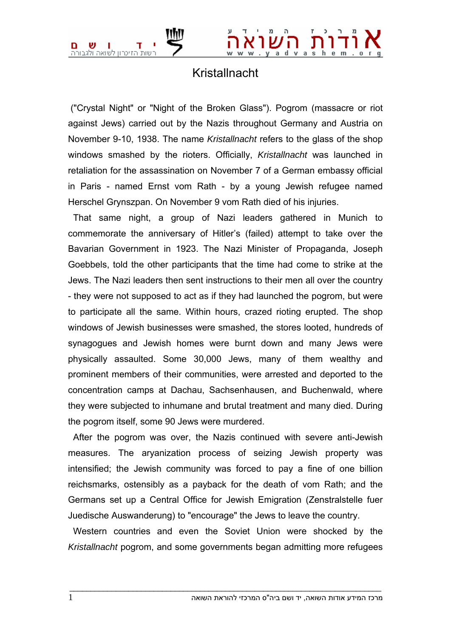

## Kristallnacht

 ("Crystal Night" or "Night of the Broken Glass"). Pogrom (massacre or riot against Jews) carried out by the Nazis throughout Germany and Austria on November 9-10, 1938. The name *Kristallnacht* refers to the glass of the shop windows smashed by the rioters. Officially, *Kristallnacht* was launched in retaliation for the assassination on November 7 of a German embassy official in Paris - named Ernst vom Rath - by a young Jewish refugee named Herschel Grynszpan. On November 9 vom Rath died of his injuries.

 That same night, a group of Nazi leaders gathered in Munich to commemorate the anniversary of Hitler's (failed) attempt to take over the Bavarian Government in 1923. The Nazi Minister of Propaganda, Joseph Goebbels, told the other participants that the time had come to strike at the Jews. The Nazi leaders then sent instructions to their men all over the country - they were not supposed to act as if they had launched the pogrom, but were to participate all the same. Within hours, crazed rioting erupted. The shop windows of Jewish businesses were smashed, the stores looted, hundreds of synagogues and Jewish homes were burnt down and many Jews were physically assaulted. Some 30,000 Jews, many of them wealthy and prominent members of their communities, were arrested and deported to the concentration camps at Dachau, Sachsenhausen, and Buchenwald, where they were subjected to inhumane and brutal treatment and many died. During the pogrom itself, some 90 Jews were murdered.

 After the pogrom was over, the Nazis continued with severe anti-Jewish measures. The aryanization process of seizing Jewish property was intensified; the Jewish community was forced to pay a fine of one billion reichsmarks, ostensibly as a payback for the death of vom Rath; and the Germans set up a Central Office for Jewish Emigration (Zenstralstelle fuer Juedische Auswanderung) to "encourage" the Jews to leave the country.

 Western countries and even the Soviet Union were shocked by the *Kristallnacht* pogrom, and some governments began admitting more refugees

 $\bot$  , and the set of the set of the set of the set of the set of the set of the set of the set of the set of the set of the set of the set of the set of the set of the set of the set of the set of the set of the set of t